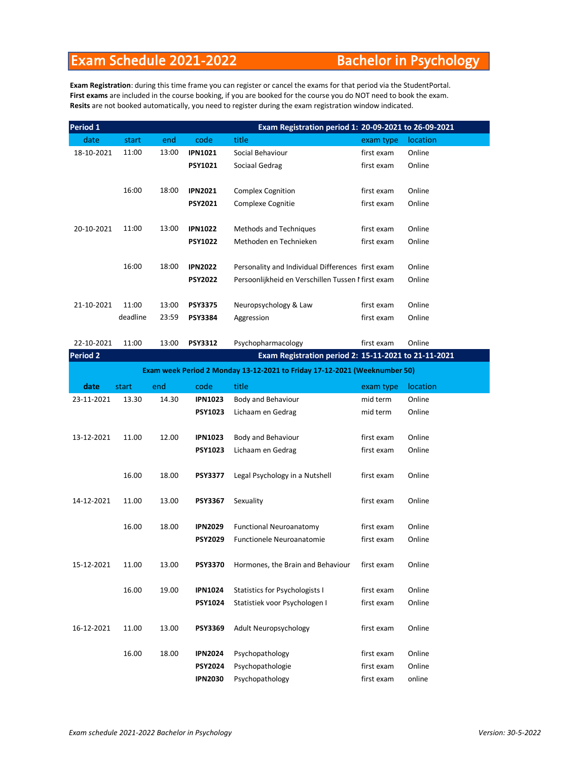## Exam Schedule 2021-2022 Bachelor in Psychology

**Exam Registration**: during this time frame you can register or cancel the exams for that period via the StudentPortal. **First exams** are included in the course booking, if you are booked for the course you do NOT need to book the exam. **Resits** are not booked automatically, you need to register during the exam registration window indicated.

| Period 1        |          |       |                | Exam Registration period 1: 20-09-2021 to 26-09-2021                      |            |          |
|-----------------|----------|-------|----------------|---------------------------------------------------------------------------|------------|----------|
| date            | start    | end   | code           | title                                                                     | exam type  | location |
| 18-10-2021      | 11:00    | 13:00 | <b>IPN1021</b> | Social Behaviour                                                          | first exam | Online   |
|                 |          |       | <b>PSY1021</b> | Sociaal Gedrag                                                            | first exam | Online   |
|                 |          |       |                |                                                                           |            |          |
|                 | 16:00    | 18:00 | <b>IPN2021</b> | <b>Complex Cognition</b>                                                  | first exam | Online   |
|                 |          |       | <b>PSY2021</b> | Complexe Cognitie                                                         | first exam | Online   |
|                 |          |       |                |                                                                           |            |          |
| 20-10-2021      | 11:00    | 13:00 | <b>IPN1022</b> | Methods and Techniques                                                    | first exam | Online   |
|                 |          |       | <b>PSY1022</b> | Methoden en Technieken                                                    | first exam | Online   |
|                 | 16:00    | 18:00 | <b>IPN2022</b> | Personality and Individual Differences first exam                         |            | Online   |
|                 |          |       | <b>PSY2022</b> | Persoonlijkheid en Verschillen Tussen Mirst exam                          |            | Online   |
|                 |          |       |                |                                                                           |            |          |
| 21-10-2021      | 11:00    | 13:00 | <b>PSY3375</b> | Neuropsychology & Law                                                     | first exam | Online   |
|                 | deadline | 23:59 | <b>PSY3384</b> | Aggression                                                                | first exam | Online   |
|                 |          |       |                |                                                                           |            |          |
| 22-10-2021      | 11:00    | 13:00 | <b>PSY3312</b> | Psychopharmacology                                                        | first exam | Online   |
| <b>Period 2</b> |          |       |                | Exam Registration period 2: 15-11-2021 to 21-11-2021                      |            |          |
|                 |          |       |                | Exam week Period 2 Monday 13-12-2021 to Friday 17-12-2021 (Weeknumber 50) |            |          |
| date            | start    | end   | code           | title                                                                     | exam type  | location |
| 23-11-2021      | 13.30    | 14.30 | <b>IPN1023</b> | Body and Behaviour                                                        | mid term   | Online   |
|                 |          |       | <b>PSY1023</b> | Lichaam en Gedrag                                                         | mid term   | Online   |
|                 |          |       |                |                                                                           |            |          |
| 13-12-2021      | 11.00    | 12.00 | <b>IPN1023</b> | Body and Behaviour                                                        | first exam | Online   |
|                 |          |       | <b>PSY1023</b> | Lichaam en Gedrag                                                         | first exam | Online   |
|                 |          |       |                |                                                                           |            |          |
|                 | 16.00    | 18.00 | <b>PSY3377</b> | Legal Psychology in a Nutshell                                            | first exam | Online   |
|                 |          |       |                |                                                                           |            |          |
| 14-12-2021      | 11.00    | 13.00 | <b>PSY3367</b> | Sexuality                                                                 | first exam | Online   |
|                 |          |       |                |                                                                           |            |          |
|                 | 16.00    | 18.00 | <b>IPN2029</b> | <b>Functional Neuroanatomy</b>                                            | first exam | Online   |
|                 |          |       | <b>PSY2029</b> | Functionele Neuroanatomie                                                 | first exam | Online   |
| 15-12-2021      | 11.00    | 13.00 | <b>PSY3370</b> | Hormones, the Brain and Behaviour                                         | first exam | Online   |
|                 |          |       |                |                                                                           |            |          |
|                 | 16.00    | 19.00 | <b>IPN1024</b> | Statistics for Psychologists I                                            | first exam | Online   |
|                 |          |       | <b>PSY1024</b> | Statistiek voor Psychologen I                                             | first exam | Online   |
|                 |          |       |                |                                                                           |            |          |
| 16-12-2021      | 11.00    | 13.00 | <b>PSY3369</b> | Adult Neuropsychology                                                     | first exam | Online   |
|                 |          |       |                |                                                                           |            |          |
|                 | 16.00    | 18.00 | <b>IPN2024</b> | Psychopathology                                                           | first exam | Online   |
|                 |          |       | <b>PSY2024</b> | Psychopathologie                                                          | first exam | Online   |
|                 |          |       | <b>IPN2030</b> | Psychopathology                                                           | first exam | online   |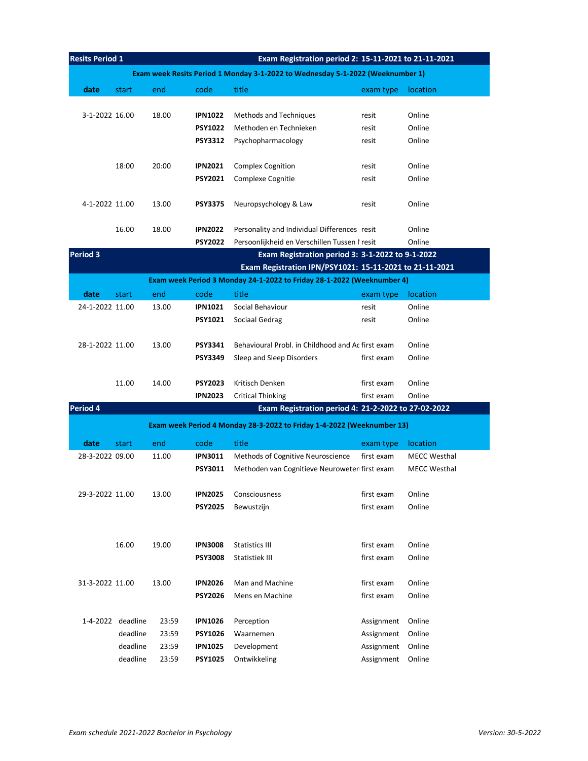| <b>Resits Period 1</b><br>Exam Registration period 2: 15-11-2021 to 21-11-2021 |                                                                                |                |                                  |                                                                                                             |                          |                     |  |  |  |  |
|--------------------------------------------------------------------------------|--------------------------------------------------------------------------------|----------------|----------------------------------|-------------------------------------------------------------------------------------------------------------|--------------------------|---------------------|--|--|--|--|
|                                                                                | Exam week Resits Period 1 Monday 3-1-2022 to Wednesday 5-1-2022 (Weeknumber 1) |                |                                  |                                                                                                             |                          |                     |  |  |  |  |
| date                                                                           | start                                                                          | end            | code                             | title                                                                                                       | exam type                | location            |  |  |  |  |
|                                                                                |                                                                                |                |                                  |                                                                                                             |                          |                     |  |  |  |  |
| 3-1-2022 16.00                                                                 |                                                                                | 18.00          | <b>IPN1022</b>                   | <b>Methods and Techniques</b>                                                                               | resit                    | Online              |  |  |  |  |
|                                                                                |                                                                                |                | <b>PSY1022</b>                   | Methoden en Technieken                                                                                      | resit                    | Online              |  |  |  |  |
|                                                                                |                                                                                |                | <b>PSY3312</b>                   | Psychopharmacology                                                                                          | resit                    | Online              |  |  |  |  |
|                                                                                |                                                                                |                |                                  |                                                                                                             |                          |                     |  |  |  |  |
|                                                                                | 18:00                                                                          | 20:00          | <b>IPN2021</b>                   | <b>Complex Cognition</b>                                                                                    | resit                    | Online              |  |  |  |  |
|                                                                                |                                                                                |                | <b>PSY2021</b>                   | <b>Complexe Cognitie</b>                                                                                    | resit                    | Online              |  |  |  |  |
|                                                                                |                                                                                |                |                                  |                                                                                                             |                          |                     |  |  |  |  |
| 4-1-2022 11.00                                                                 |                                                                                | 13.00          | <b>PSY3375</b>                   | Neuropsychology & Law                                                                                       | resit                    | Online              |  |  |  |  |
|                                                                                |                                                                                |                |                                  |                                                                                                             |                          |                     |  |  |  |  |
|                                                                                | 16.00                                                                          | 18.00          | <b>IPN2022</b>                   | Personality and Individual Differences resit                                                                |                          | Online              |  |  |  |  |
|                                                                                |                                                                                |                | <b>PSY2022</b>                   | Persoonlijkheid en Verschillen Tussen I resit                                                               |                          | Online              |  |  |  |  |
| <b>Period 3</b>                                                                |                                                                                |                |                                  | Exam Registration period 3: 3-1-2022 to 9-1-2022<br>Exam Registration IPN/PSY1021: 15-11-2021 to 21-11-2021 |                          |                     |  |  |  |  |
|                                                                                |                                                                                |                |                                  | Exam week Period 3 Monday 24-1-2022 to Friday 28-1-2022 (Weeknumber 4)                                      |                          |                     |  |  |  |  |
| date                                                                           | start                                                                          | end            | code                             | title                                                                                                       | exam type                | location            |  |  |  |  |
| 24-1-2022 11.00                                                                |                                                                                | 13.00          | <b>IPN1021</b>                   | Social Behaviour                                                                                            | resit                    | Online              |  |  |  |  |
|                                                                                |                                                                                |                | <b>PSY1021</b>                   | Sociaal Gedrag                                                                                              | resit                    | Online              |  |  |  |  |
|                                                                                |                                                                                |                |                                  |                                                                                                             |                          |                     |  |  |  |  |
| 28-1-2022 11.00                                                                |                                                                                | 13.00          | <b>PSY3341</b>                   | Behavioural Probl. in Childhood and Ac first exam                                                           |                          | Online              |  |  |  |  |
|                                                                                |                                                                                |                | <b>PSY3349</b>                   | Sleep and Sleep Disorders                                                                                   | first exam               | Online              |  |  |  |  |
|                                                                                |                                                                                |                |                                  |                                                                                                             |                          |                     |  |  |  |  |
|                                                                                | 11.00                                                                          | 14.00          | <b>PSY2023</b>                   | Kritisch Denken                                                                                             | first exam               | Online              |  |  |  |  |
|                                                                                |                                                                                |                | <b>IPN2023</b>                   | <b>Critical Thinking</b>                                                                                    | first exam               | Online              |  |  |  |  |
| Period 4                                                                       |                                                                                |                |                                  | Exam Registration period 4: 21-2-2022 to 27-02-2022                                                         |                          |                     |  |  |  |  |
|                                                                                |                                                                                |                |                                  | Exam week Period 4 Monday 28-3-2022 to Friday 1-4-2022 (Weeknumber 13)                                      |                          |                     |  |  |  |  |
| date                                                                           | start                                                                          | end            | code                             | title                                                                                                       | exam type                | location            |  |  |  |  |
| 28-3-2022 09.00                                                                |                                                                                | 11.00          | <b>IPN3011</b>                   | Methods of Cognitive Neuroscience                                                                           | first exam               | <b>MECC Westhal</b> |  |  |  |  |
|                                                                                |                                                                                |                | <b>PSY3011</b>                   | Methoden van Cognitieve Neuroweten first exam                                                               |                          | <b>MECC Westhal</b> |  |  |  |  |
|                                                                                |                                                                                |                |                                  |                                                                                                             |                          |                     |  |  |  |  |
| 29-3-2022 11.00                                                                |                                                                                | 13.00          | <b>IPN2025</b>                   | Consciousness                                                                                               | first exam               | Online              |  |  |  |  |
|                                                                                |                                                                                |                | <b>PSY2025</b>                   | Bewustzijn                                                                                                  | first exam               | Online              |  |  |  |  |
|                                                                                |                                                                                |                |                                  |                                                                                                             |                          |                     |  |  |  |  |
|                                                                                |                                                                                |                |                                  |                                                                                                             |                          |                     |  |  |  |  |
|                                                                                | 16.00                                                                          | 19.00          | <b>IPN3008</b>                   | Statistics III                                                                                              | first exam               | Online              |  |  |  |  |
|                                                                                |                                                                                |                | <b>PSY3008</b>                   | Statistiek III                                                                                              | first exam               | Online              |  |  |  |  |
|                                                                                |                                                                                |                |                                  |                                                                                                             |                          |                     |  |  |  |  |
| 31-3-2022 11.00                                                                |                                                                                | 13.00          | <b>IPN2026</b>                   | Man and Machine                                                                                             | first exam               | Online              |  |  |  |  |
|                                                                                |                                                                                |                | <b>PSY2026</b>                   | Mens en Machine                                                                                             | first exam               | Online              |  |  |  |  |
|                                                                                |                                                                                |                |                                  |                                                                                                             |                          |                     |  |  |  |  |
|                                                                                | 1-4-2022 deadline<br>deadline                                                  | 23:59          | <b>IPN1026</b>                   | Perception                                                                                                  | Assignment               | Online              |  |  |  |  |
|                                                                                | deadline                                                                       | 23:59<br>23:59 | <b>PSY1026</b><br><b>IPN1025</b> | Waarnemen<br>Development                                                                                    | Assignment<br>Assignment | Online<br>Online    |  |  |  |  |
|                                                                                | deadline                                                                       | 23:59          | <b>PSY1025</b>                   | Ontwikkeling                                                                                                | Assignment               | Online              |  |  |  |  |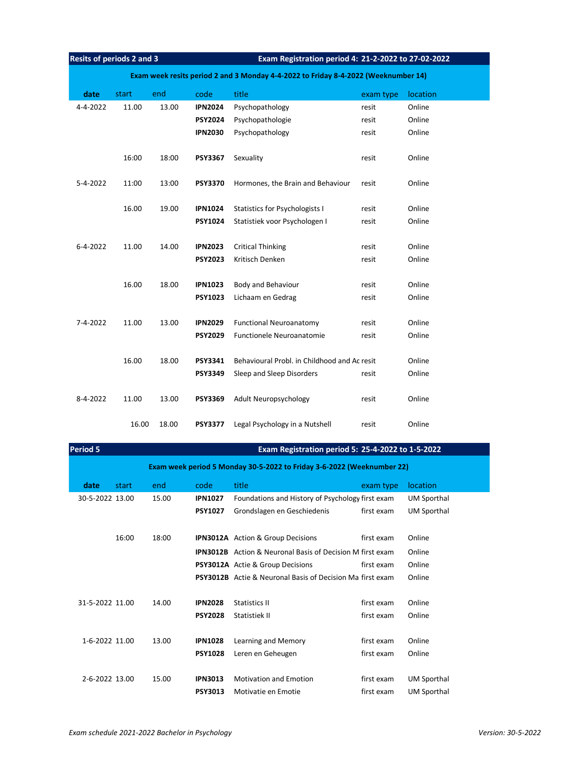| Resits of periods 2 and 3 |       |       |                                                                                    | Exam Registration period 4: 21-2-2022 to 27-02-2022 |           |          |  |  |  |
|---------------------------|-------|-------|------------------------------------------------------------------------------------|-----------------------------------------------------|-----------|----------|--|--|--|
|                           |       |       | Exam week resits period 2 and 3 Monday 4-4-2022 to Friday 8-4-2022 (Weeknumber 14) |                                                     |           |          |  |  |  |
| date                      | start | end   | code                                                                               | title                                               | exam type | location |  |  |  |
| 4-4-2022                  | 11.00 | 13.00 | <b>IPN2024</b>                                                                     | Psychopathology                                     | resit     | Online   |  |  |  |
|                           |       |       | <b>PSY2024</b>                                                                     | Psychopathologie                                    | resit     | Online   |  |  |  |
|                           |       |       | <b>IPN2030</b>                                                                     | Psychopathology                                     | resit     | Online   |  |  |  |
|                           | 16:00 | 18:00 | <b>PSY3367</b>                                                                     | Sexuality                                           | resit     | Online   |  |  |  |
| 5-4-2022                  | 11:00 | 13:00 | <b>PSY3370</b>                                                                     | Hormones, the Brain and Behaviour                   | resit     | Online   |  |  |  |
|                           | 16.00 | 19.00 | <b>IPN1024</b>                                                                     | Statistics for Psychologists I                      | resit     | Online   |  |  |  |
|                           |       |       | <b>PSY1024</b>                                                                     | Statistiek voor Psychologen I                       | resit     | Online   |  |  |  |
|                           |       |       |                                                                                    |                                                     |           |          |  |  |  |
| $6 - 4 - 2022$            | 11.00 | 14.00 | <b>IPN2023</b>                                                                     | <b>Critical Thinking</b>                            | resit     | Online   |  |  |  |
|                           |       |       | <b>PSY2023</b>                                                                     | Kritisch Denken                                     | resit     | Online   |  |  |  |
|                           | 16.00 | 18.00 | <b>IPN1023</b>                                                                     | Body and Behaviour                                  | resit     | Online   |  |  |  |
|                           |       |       | <b>PSY1023</b>                                                                     | Lichaam en Gedrag                                   | resit     | Online   |  |  |  |
|                           |       |       |                                                                                    |                                                     |           |          |  |  |  |
| 7-4-2022                  | 11.00 | 13.00 | <b>IPN2029</b>                                                                     | <b>Functional Neuroanatomy</b>                      | resit     | Online   |  |  |  |
|                           |       |       | <b>PSY2029</b>                                                                     | Functionele Neuroanatomie                           | resit     | Online   |  |  |  |
|                           | 16.00 | 18.00 | PSY3341                                                                            | Behavioural Probl. in Childhood and Ac resit        |           | Online   |  |  |  |
|                           |       |       | <b>PSY3349</b>                                                                     | Sleep and Sleep Disorders                           | resit     | Online   |  |  |  |
| 8-4-2022                  | 11.00 | 13.00 | <b>PSY3369</b>                                                                     | Adult Neuropsychology                               | resit     | Online   |  |  |  |
|                           | 16.00 | 18.00 | <b>PSY3377</b>                                                                     | Legal Psychology in a Nutshell                      | resit     | Online   |  |  |  |

| <b>Period 5</b>                                                        |                 |       | Exam Registration period 5: 25-4-2022 to 1-5-2022 |                |                                                                  |            |                    |  |  |
|------------------------------------------------------------------------|-----------------|-------|---------------------------------------------------|----------------|------------------------------------------------------------------|------------|--------------------|--|--|
| Exam week period 5 Monday 30-5-2022 to Friday 3-6-2022 (Weeknumber 22) |                 |       |                                                   |                |                                                                  |            |                    |  |  |
|                                                                        | date            | start | end                                               | code           | title                                                            | exam type  | <b>location</b>    |  |  |
|                                                                        | 30-5-2022 13.00 |       | 15.00                                             | <b>IPN1027</b> | Foundations and History of Psychology first exam                 |            | <b>UM Sporthal</b> |  |  |
|                                                                        |                 |       |                                                   | <b>PSY1027</b> | Grondslagen en Geschiedenis                                      | first exam | <b>UM Sporthal</b> |  |  |
|                                                                        |                 |       |                                                   |                |                                                                  |            |                    |  |  |
|                                                                        |                 | 16:00 | 18:00                                             |                | <b>IPN3012A</b> Action & Group Decisions                         | first exam | Online             |  |  |
|                                                                        |                 |       |                                                   |                | <b>IPN3012B</b> Action & Neuronal Basis of Decision M first exam |            | Online             |  |  |
|                                                                        |                 |       |                                                   |                | PSY3012A Actie & Group Decisions                                 | first exam | Online             |  |  |
|                                                                        |                 |       |                                                   |                | <b>PSY3012B</b> Actie & Neuronal Basis of Decision Malfirst exam |            | Online             |  |  |
|                                                                        |                 |       |                                                   |                |                                                                  |            |                    |  |  |
|                                                                        | 31-5-2022 11.00 |       | 14.00                                             | <b>IPN2028</b> | Statistics II                                                    | first exam | Online             |  |  |
|                                                                        |                 |       |                                                   | <b>PSY2028</b> | Statistiek II                                                    | first exam | Online             |  |  |
|                                                                        |                 |       |                                                   |                |                                                                  |            |                    |  |  |
|                                                                        | 1-6-2022 11.00  |       | 13.00                                             | <b>IPN1028</b> | Learning and Memory                                              | first exam | Online             |  |  |
|                                                                        |                 |       |                                                   | <b>PSY1028</b> | Leren en Geheugen                                                | first exam | Online             |  |  |
|                                                                        |                 |       |                                                   |                |                                                                  |            |                    |  |  |
|                                                                        | 2-6-2022 13.00  |       | 15.00                                             | <b>IPN3013</b> | <b>Motivation and Emotion</b>                                    | first exam | <b>UM Sporthal</b> |  |  |

**PSY3013** Motivatie en Emotie **de Exam** UM Sporthal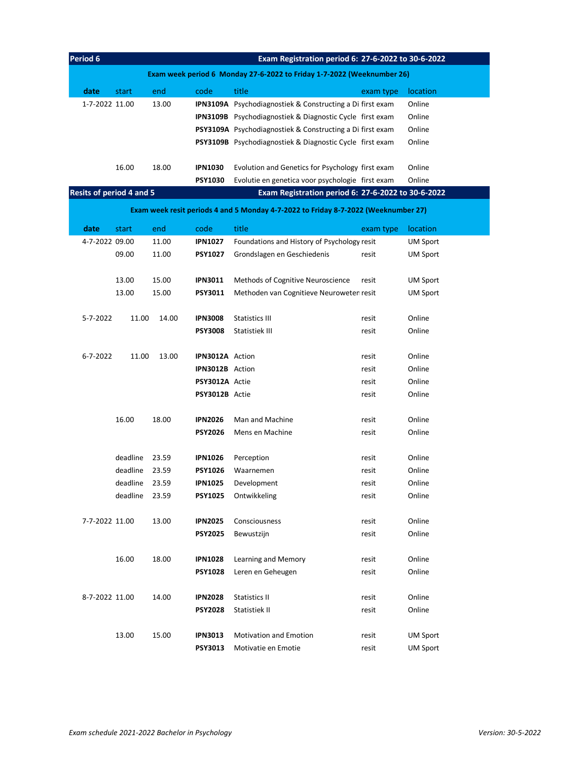| Period 6                        | Exam Registration period 6: 27-6-2022 to 30-6-2022                     |       |                |                                                                 |           |                 |  |  |
|---------------------------------|------------------------------------------------------------------------|-------|----------------|-----------------------------------------------------------------|-----------|-----------------|--|--|
|                                 | Exam week period 6 Monday 27-6-2022 to Friday 1-7-2022 (Weeknumber 26) |       |                |                                                                 |           |                 |  |  |
| date                            | start                                                                  | end   | code           | title                                                           | exam type | <b>location</b> |  |  |
| 1-7-2022 11.00                  |                                                                        | 13.00 |                | <b>IPN3109A</b> Psychodiagnostiek & Constructing a Difirst exam |           | Online          |  |  |
|                                 |                                                                        |       |                | <b>IPN3109B</b> Psychodiagnostiek & Diagnostic Cycle first exam |           | Online          |  |  |
|                                 |                                                                        |       |                | <b>PSY3109A</b> Psychodiagnostiek & Constructing a Difirst exam |           | Online          |  |  |
|                                 |                                                                        |       |                | <b>PSY3109B</b> Psychodiagnostiek & Diagnostic Cycle first exam |           | Online          |  |  |
|                                 |                                                                        |       |                |                                                                 |           |                 |  |  |
|                                 | 16.00                                                                  | 18.00 | <b>IPN1030</b> | Evolution and Genetics for Psychology first exam                |           | Online          |  |  |
|                                 |                                                                        |       | <b>PSY1030</b> | Evolutie en genetica voor psychologie first exam                |           | Online          |  |  |
| <b>Resits of period 4 and 5</b> |                                                                        |       |                | Exam Registration period 6: 27-6-2022 to 30-6-2022              |           |                 |  |  |

|                | Exam week resit periods 4 and 5 Monday 4-7-2022 to Friday 8-7-2022 (Weeknumber 27) |       |                 |                                             |           |                 |  |  |  |
|----------------|------------------------------------------------------------------------------------|-------|-----------------|---------------------------------------------|-----------|-----------------|--|--|--|
| date           | start                                                                              | end   | code            | title                                       | exam type | location        |  |  |  |
| 4-7-2022 09.00 |                                                                                    | 11.00 | <b>IPN1027</b>  | Foundations and History of Psychology resit |           | <b>UM Sport</b> |  |  |  |
|                | 09.00                                                                              | 11.00 | <b>PSY1027</b>  | Grondslagen en Geschiedenis                 | resit     | <b>UM Sport</b> |  |  |  |
|                | 13.00                                                                              | 15.00 | <b>IPN3011</b>  | Methods of Cognitive Neuroscience           | resit     | <b>UM Sport</b> |  |  |  |
|                | 13.00                                                                              | 15.00 | PSY3011         | Methoden van Cognitieve Neuroweten resit    |           | <b>UM Sport</b> |  |  |  |
| 5-7-2022       | 11.00                                                                              | 14.00 | <b>IPN3008</b>  | <b>Statistics III</b>                       | resit     | Online          |  |  |  |
|                |                                                                                    |       | <b>PSY3008</b>  | <b>Statistiek III</b>                       | resit     | Online          |  |  |  |
| $6 - 7 - 2022$ | 11.00                                                                              | 13.00 | IPN3012A Action |                                             | resit     | Online          |  |  |  |
|                |                                                                                    |       | IPN3012B Action |                                             | resit     | Online          |  |  |  |
|                |                                                                                    |       | PSY3012A Actie  |                                             | resit     | Online          |  |  |  |
|                |                                                                                    |       | PSY3012B Actie  |                                             | resit     | Online          |  |  |  |
|                |                                                                                    |       |                 |                                             |           |                 |  |  |  |
|                | 16.00                                                                              | 18.00 | <b>IPN2026</b>  | Man and Machine                             | resit     | Online          |  |  |  |
|                |                                                                                    |       | <b>PSY2026</b>  | Mens en Machine                             | resit     | Online          |  |  |  |
|                | deadline                                                                           | 23.59 | <b>IPN1026</b>  | Perception                                  | resit     | Online          |  |  |  |
|                | deadline                                                                           | 23.59 | <b>PSY1026</b>  | Waarnemen                                   | resit     | Online          |  |  |  |
|                | deadline                                                                           | 23.59 | <b>IPN1025</b>  | Development                                 | resit     | Online          |  |  |  |
|                | deadline                                                                           | 23.59 | <b>PSY1025</b>  | Ontwikkeling                                | resit     | Online          |  |  |  |
| 7-7-2022 11.00 |                                                                                    | 13.00 | <b>IPN2025</b>  | Consciousness                               | resit     | Online          |  |  |  |
|                |                                                                                    |       | <b>PSY2025</b>  | Bewustzijn                                  | resit     | Online          |  |  |  |
|                |                                                                                    |       |                 |                                             |           |                 |  |  |  |
|                | 16.00                                                                              | 18.00 | <b>IPN1028</b>  | Learning and Memory                         | resit     | Online          |  |  |  |
|                |                                                                                    |       | <b>PSY1028</b>  | Leren en Geheugen                           | resit     | Online          |  |  |  |
|                |                                                                                    |       |                 |                                             |           |                 |  |  |  |
| 8-7-2022 11.00 |                                                                                    | 14.00 | <b>IPN2028</b>  | Statistics II                               | resit     | Online          |  |  |  |
|                |                                                                                    |       | <b>PSY2028</b>  | Statistiek II                               | resit     | Online          |  |  |  |
|                |                                                                                    |       |                 |                                             |           |                 |  |  |  |
|                | 13.00                                                                              | 15.00 | <b>IPN3013</b>  | <b>Motivation and Emotion</b>               | resit     | <b>UM Sport</b> |  |  |  |
|                |                                                                                    |       | <b>PSY3013</b>  | Motivatie en Emotie                         | resit     | <b>UM Sport</b> |  |  |  |